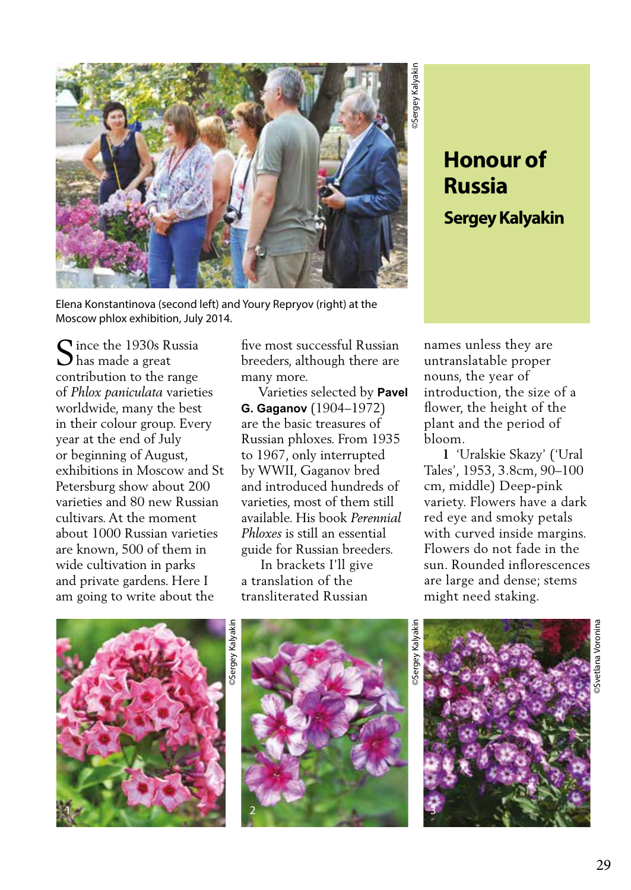

Elena Konstantinova (second left) and Youry Repryov (right) at the Moscow phlox exhibition, July 2014.

Since the 1930s Russia<br>Shas made a great has made a great contribution to the range of *Phlox paniculata* varieties worldwide, many the best in their colour group. Every year at the end of July or beginning of August, exhibitions in Moscow and St Petersburg show about 200 varieties and 80 new Russian cultivars. At the moment about 1000 Russian varieties are known, 500 of them in wide cultivation in parks and private gardens. Here I am going to write about the

five most successful Russian breeders, although there are many more.

 Varieties selected by **Pavel G. Gaganov** (1904–1972) are the basic treasures of Russian phloxes. From 1935 to 1967, only interrupted by WWII, Gaganov bred and introduced hundreds of varieties, most of them still available. His book *Perennial Phloxes* is still an essential guide for Russian breeders.

 In brackets I'll give a translation of the transliterated Russian

## **Russia Sergey Kalyakin**

names unless they are untranslatable proper nouns, the year of introduction, the size of a flower, the height of the plant and the period of bloom.

 **1** 'Uralskie Skazy' ('Ural Tales', 1953, 3.8cm, 90–100 cm, middle) Deep-pink variety. Flowers have a dark red eye and smoky petals with curved inside margins. Flowers do not fade in the sun. Rounded inflorescences are large and dense; stems might need staking.









©Svetlana Voronina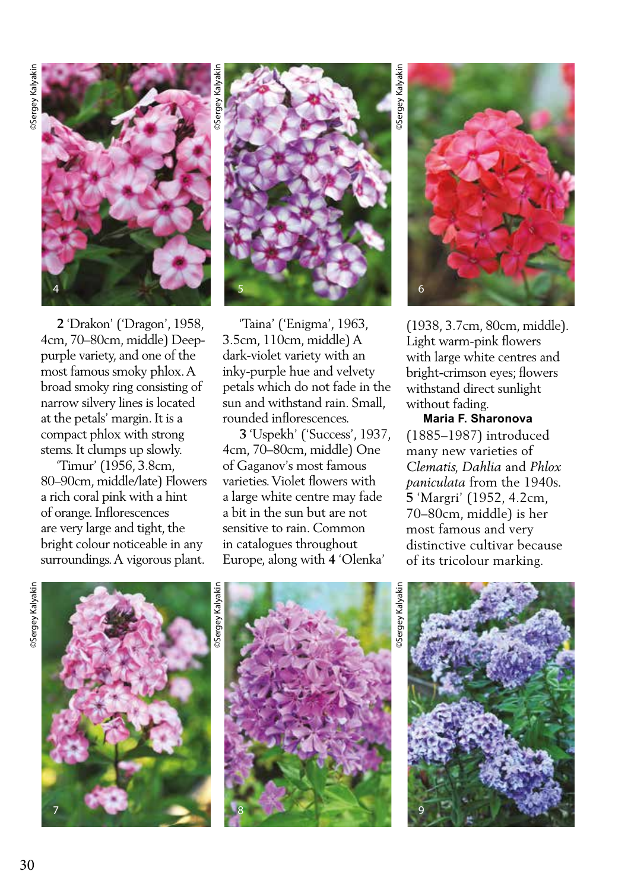

 **2** 'Drakon' ('Dragon', 1958, 4cm, 70–80cm, middle) Deeppurple variety, and one of the most famous smoky phlox. A broad smoky ring consisting of narrow silvery lines is located at the petals' margin. It is a compact phlox with strong stems. It clumps up slowly.

 'Timur' (1956, 3.8cm, 80–90cm, middle/late) Flowers a rich coral pink with a hint of orange. Inflorescences are very large and tight, the bright colour noticeable in any surroundings. A vigorous plant.



 'Taina' ('Enigma', 1963, 3.5cm, 110cm, middle) A dark-violet variety with an inky-purple hue and velvety petals which do not fade in the sun and withstand rain. Small, rounded inflorescences.

 **3** 'Uspekh' ('Success', 1937, 4cm, 70–80cm, middle) One of Gaganov's most famous varieties. Violet flowers with a large white centre may fade a bit in the sun but are not sensitive to rain. Common in catalogues throughout Europe, along with **4** 'Olenka'

6

(1938, 3.7cm, 80cm, middle). Light warm-pink flowers with large white centres and bright-crimson eyes; flowers withstand direct sunlight without fading.

## **Maria F. Sharonova**

(1885–1987) introduced many new varieties of *Clematis, Dahlia* and *Phlox paniculata* from the 1940s. **5** 'Margri' (1952, 4.2cm, 70–80cm, middle) is her most famous and very distinctive cultivar because of its tricolour marking.







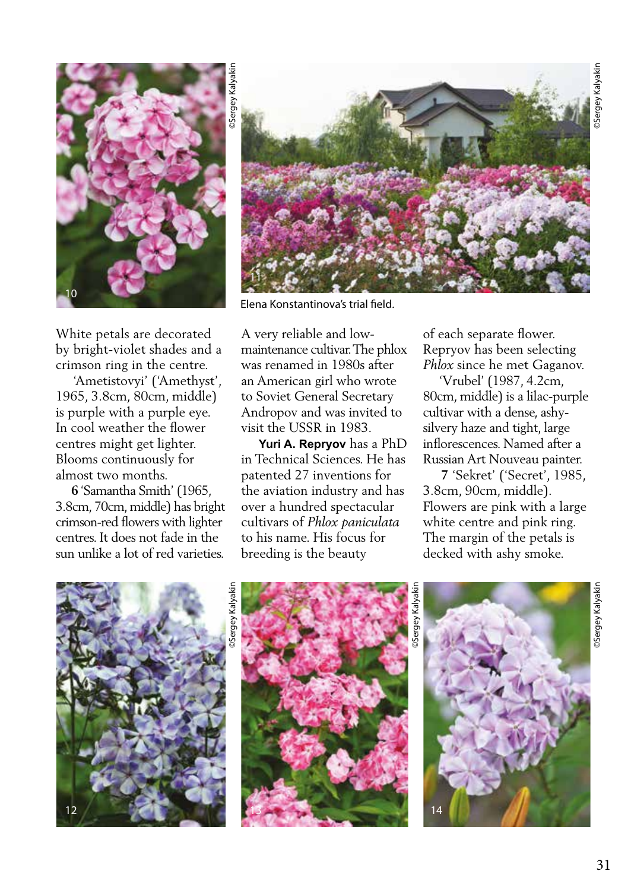

White petals are decorated by bright-violet shades and a crimson ring in the centre.

 'Ametistovyi' ('Amethyst', 1965, 3.8cm, 80cm, middle) is purple with a purple eye. In cool weather the flower centres might get lighter. Blooms continuously for almost two months.

 **6** 'Samantha Smith' (1965, 3.8cm, 70cm, middle) has bright crimson-red flowers with lighter centres. It does not fade in the sun unlike a lot of red varieties.



Elena Konstantinova's trial field.

A very reliable and lowmaintenance cultivar. The phlox was renamed in 1980s after an American girl who wrote to Soviet General Secretary Andropov and was invited to visit the USSR in 1983.

 **Yuri A. Repryov** has a PhD in Technical Sciences. He has patented 27 inventions for the aviation industry and has over a hundred spectacular cultivars of *Phlox paniculata*  to his name. His focus for breeding is the beauty

of each separate flower. Repryov has been selecting *Phlox* since he met Gaganov.

 'Vrubel' (1987, 4.2cm, 80cm, middle) is a lilac-purple cultivar with a dense, ashysilvery haze and tight, large inflorescences. Named after a Russian Art Nouveau painter.

 **7** 'Sekret' ('Secret', 1985, 3.8cm, 90cm, middle). Flowers are pink with a large white centre and pink ring. The margin of the petals is decked with ashy smoke.

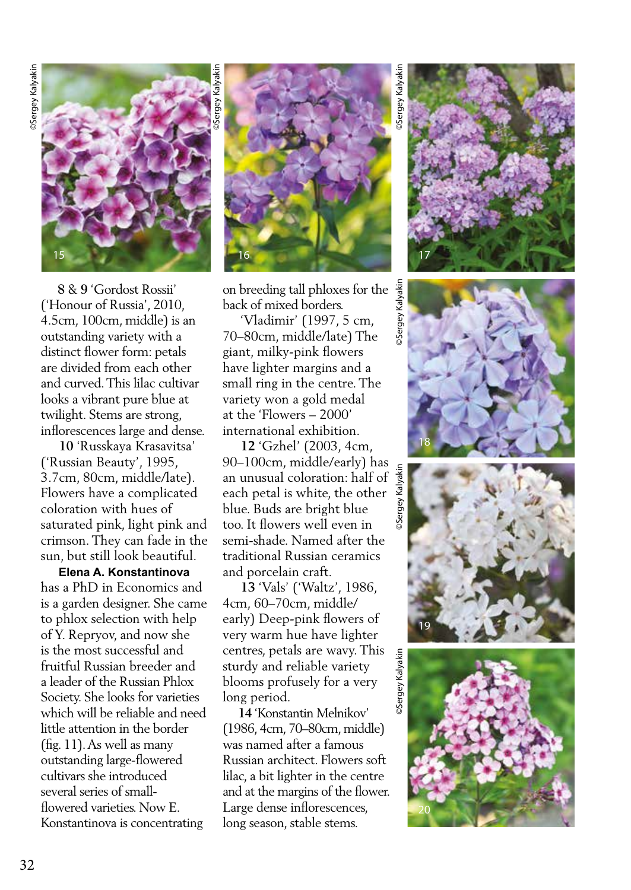

 **8** & **9** 'Gordost Rossii' ('Honour of Russia', 2010, 4.5cm, 100cm, middle) is an outstanding variety with a distinct flower form: petals are divided from each other and curved. This lilac cultivar looks a vibrant pure blue at twilight. Stems are strong, inflorescences large and dense.

 **10** 'Russkaya Krasavitsa' ('Russian Beauty', 1995, 3.7cm, 80cm, middle/late). Flowers have a complicated coloration with hues of saturated pink, light pink and crimson. They can fade in the sun, but still look beautiful.

 **Elena A. Konstantinova**  has a PhD in Economics and is a garden designer. She came to phlox selection with help of Y. Repryov, and now she is the most successful and fruitful Russian breeder and a leader of the Russian Phlox Society. She looks for varieties which will be reliable and need little attention in the border (fig. 11). As well as many outstanding large-flowered cultivars she introduced several series of smallflowered varieties. Now E. Konstantinova is concentrating



Sergey Kalyakir on breeding tall phloxes for the back of mixed borders.

 'Vladimir' (1997, 5 cm, 70–80cm, middle/late) The giant, milky-pink flowers have lighter margins and a small ring in the centre. The variety won a gold medal at the 'Flowers – 2000' international exhibition.

 **12** 'Gzhel' (2003, 4cm, 90–100cm, middle/early) has<br>an unusual coloration: half of  $\frac{g}{g}$ <br>each petal is white, the other  $\frac{g}{g}$ <br>blue. Buds are bright blue an unusual coloration: half of each petal is white, the other blue. Buds are bright blue too. It flowers well even in semi-shade. Named after the traditional Russian ceramics and porcelain craft.

 **13** 'Vals' ('Waltz', 1986, 4cm, 60–70cm, middle/ early) Deep-pink flowers of very warm hue have lighter centres, petals are wavy. This sturdy and reliable variety blooms profusely for a very long period.

 **14** 'Konstantin Melnikov' (1986, 4cm, 70–80cm, middle) was named after a famous Russian architect. Flowers soft lilac, a bit lighter in the centre and at the margins of the flower. Large dense inflorescences, long season, stable stems.

©Sergey Kalyakin ©Sergey Kalyakin ©Sergey Kalyakin ©Sergey Kalyakin Sergey Kalyakin





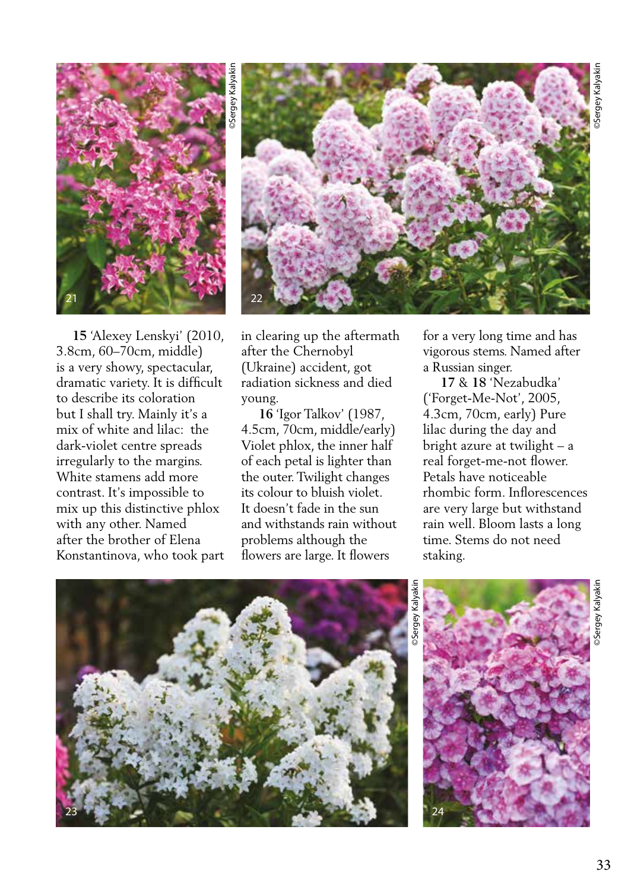



 **15** 'Alexey Lenskyi' (2010, 3.8cm, 60–70cm, middle) is a very showy, spectacular, dramatic variety. It is difficult to describe its coloration but I shall try. Mainly it's a mix of white and lilac: the dark-violet centre spreads irregularly to the margins. White stamens add more contrast. It's impossible to mix up this distinctive phlox with any other. Named after the brother of Elena Konstantinova, who took part in clearing up the aftermath after the Chernobyl (Ukraine) accident, got radiation sickness and died young.

 **16** 'Igor Talkov' (1987, 4.5cm, 70cm, middle/early) Violet phlox, the inner half of each petal is lighter than the outer. Twilight changes its colour to bluish violet. It doesn't fade in the sun and withstands rain without problems although the flowers are large. It flowers

for a very long time and has vigorous stems. Named after a Russian singer.

 **17** & **18** 'Nezabudka' ('Forget-Me-Not', 2005, 4.3cm, 70cm, early) Pure lilac during the day and bright azure at twilight – a real forget-me-not flower. Petals have noticeable rhombic form. Inflorescences are very large but withstand rain well. Bloom lasts a long time. Stems do not need staking.



©Sergey Kalyakin

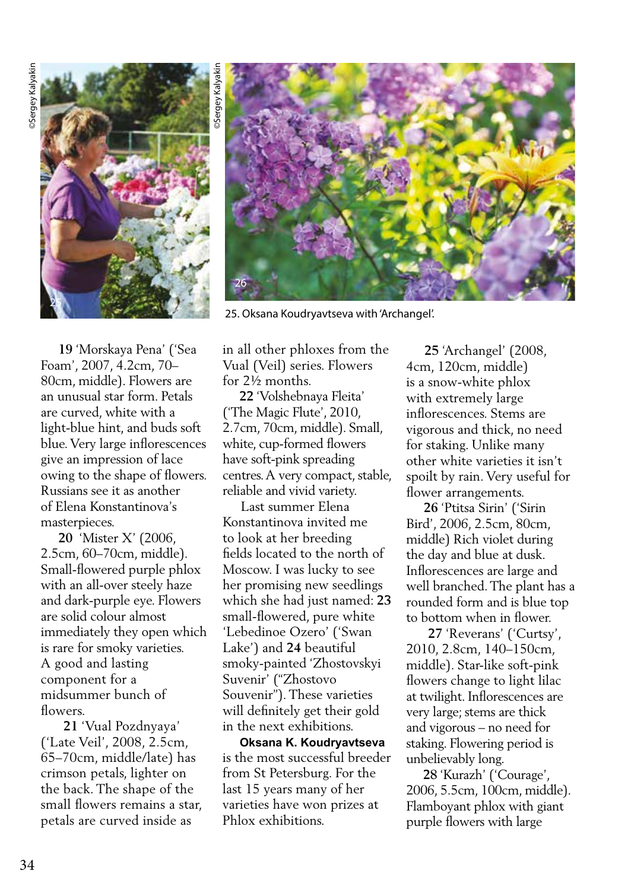

in all other phloxes from the Vual (Veil) series. Flowers for 2½ months. **22** 'Volshebnaya Fleita' ('The Magic Flute', 2010,

2.7cm, 70cm, middle). Small, white, cup-formed flowers have soft-pink spreading centres. A very compact, stable, reliable and vivid variety.

 Last summer Elena Konstantinova invited me to look at her breeding fields located to the north of Moscow. I was lucky to see her promising new seedlings which she had just named: **23** small-flowered, pure white 'Lebedinoe Ozero' ('Swan Lake') and **24** beautiful smoky-painted 'Zhostovskyi Suvenir' ("Zhostovo Souvenir"). These varieties will definitely get their gold in the next exhibitions.

 **Oksana K. Koudryavtseva**  is the most successful breeder from St Petersburg. For the last 15 years many of her varieties have won prizes at Phlox exhibitions.

 **25** 'Archangel' (2008, 4cm, 120cm, middle) is a snow-white phlox with extremely large inflorescences. Stems are vigorous and thick, no need for staking. Unlike many other white varieties it isn't spoilt by rain. Very useful for flower arrangements.

 **26** 'Ptitsa Sirin' ('Sirin Bird', 2006, 2.5cm, 80cm, middle) Rich violet during the day and blue at dusk. Inflorescences are large and well branched. The plant has a rounded form and is blue top to bottom when in flower.

 **27** 'Reverans' ('Curtsy', 2010, 2.8cm, 140–150cm, middle). Star-like soft-pink flowers change to light lilac at twilight. Inflorescences are very large; stems are thick and vigorous – no need for staking. Flowering period is unbelievably long.

 **28** 'Kurazh' ('Courage', 2006, 5.5cm, 100cm, middle). Flamboyant phlox with giant purple flowers with large

 **19** 'Morskaya Pena' ('Sea Foam', 2007, 4.2cm, 70– 80cm, middle). Flowers are an unusual star form. Petals are curved, white with a light-blue hint, and buds soft blue. Very large inflorescences give an impression of lace owing to the shape of flowers. Russians see it as another of Elena Konstantinova's masterpieces.

 **20** 'Mister X' (2006, 2.5cm, 60–70cm, middle). Small-flowered purple phlox with an all-over steely haze and dark-purple eye. Flowers are solid colour almost immediately they open which is rare for smoky varieties. A good and lasting component for a midsummer bunch of flowers.

 **21** 'Vual Pozdnyaya' ('Late Veil', 2008, 2.5cm, 65–70cm, middle/late) has crimson petals, lighter on the back. The shape of the small flowers remains a star, petals are curved inside as



25. Oksana Koudryavtseva with 'Archangel'.